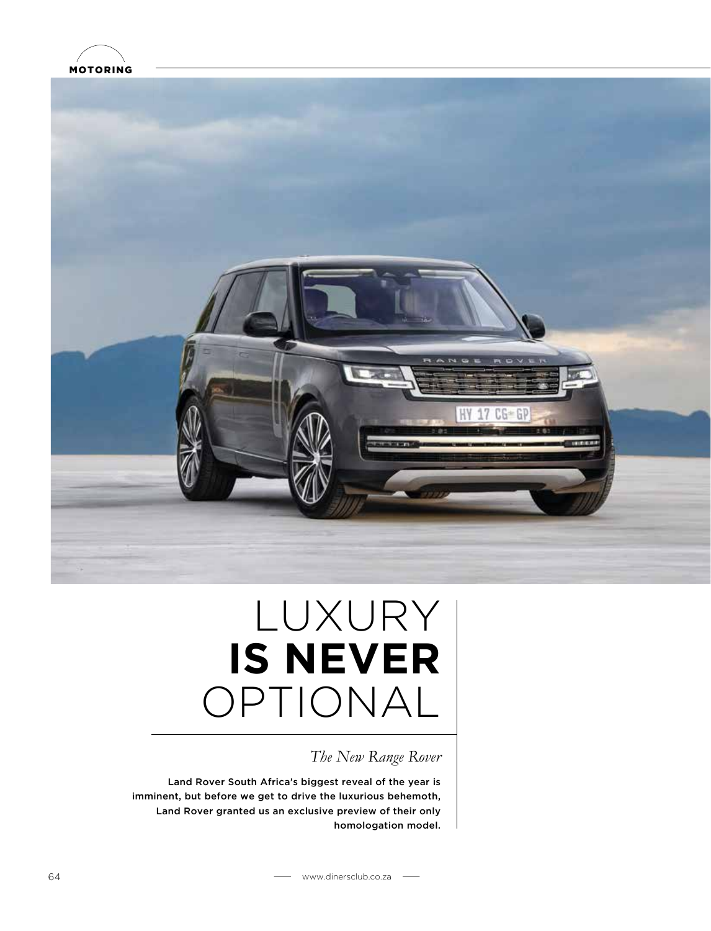

# LUXURY **IS NEVER** OPTIONAL

# *The New Range Rover*

Land Rover South Africa's biggest reveal of the year is imminent, but before we get to drive the luxurious behemoth, Land Rover granted us an exclusive preview of their only homologation model.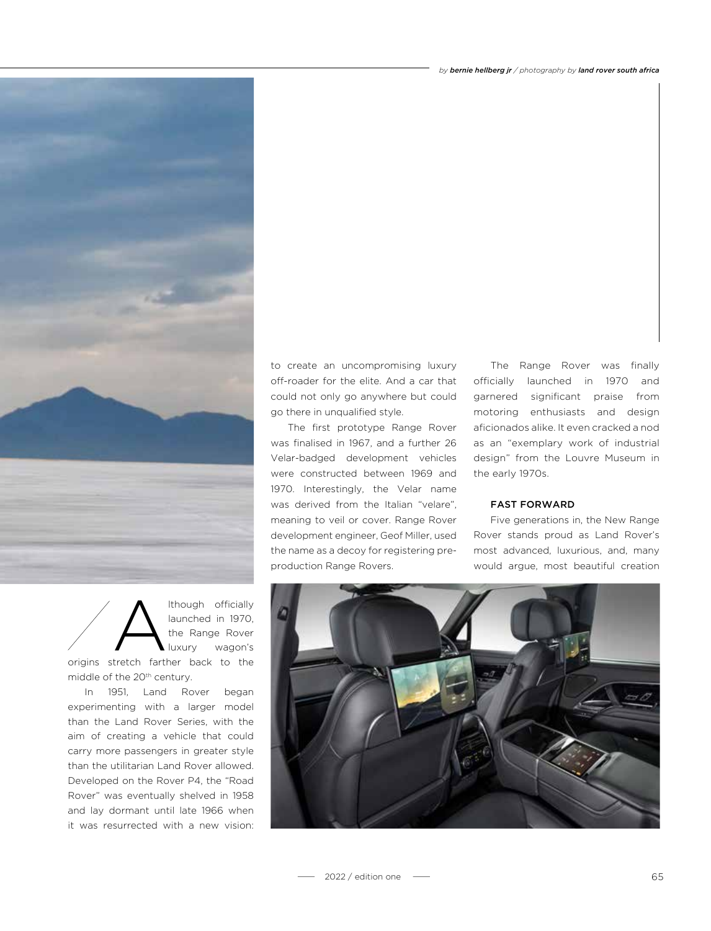#### *by bernie hellberg jr / photography by land rover south africa*



Ithough officially<br>
Iaunched in 1970,<br>
the Range Rover<br>
Iuxury wagon's launched in 1970, the Range Rover wagon's origins stretch farther back to the middle of the 20<sup>th</sup> century.

In 1951, Land Rover began experimenting with a larger model than the Land Rover Series, with the aim of creating a vehicle that could carry more passengers in greater style than the utilitarian Land Rover allowed. Developed on the Rover P4, the "Road Rover" was eventually shelved in 1958 and lay dormant until late 1966 when it was resurrected with a new vision:

to create an uncompromising luxury off-roader for the elite. And a car that could not only go anywhere but could go there in unqualified style.

The first prototype Range Rover was finalised in 1967, and a further 26 Velar-badged development vehicles were constructed between 1969 and 1970. Interestingly, the Velar name was derived from the Italian "velare", meaning to veil or cover. Range Rover development engineer, Geof Miller, used the name as a decoy for registering preproduction Range Rovers.

The Range Rover was finally officially launched in 1970 and garnered significant praise from motoring enthusiasts and design aficionados alike. It even cracked a nod as an "exemplary work of industrial design" from the Louvre Museum in the early 1970s.

## FAST FORWARD

Five generations in, the New Range Rover stands proud as Land Rover's most advanced, luxurious, and, many would argue, most beautiful creation

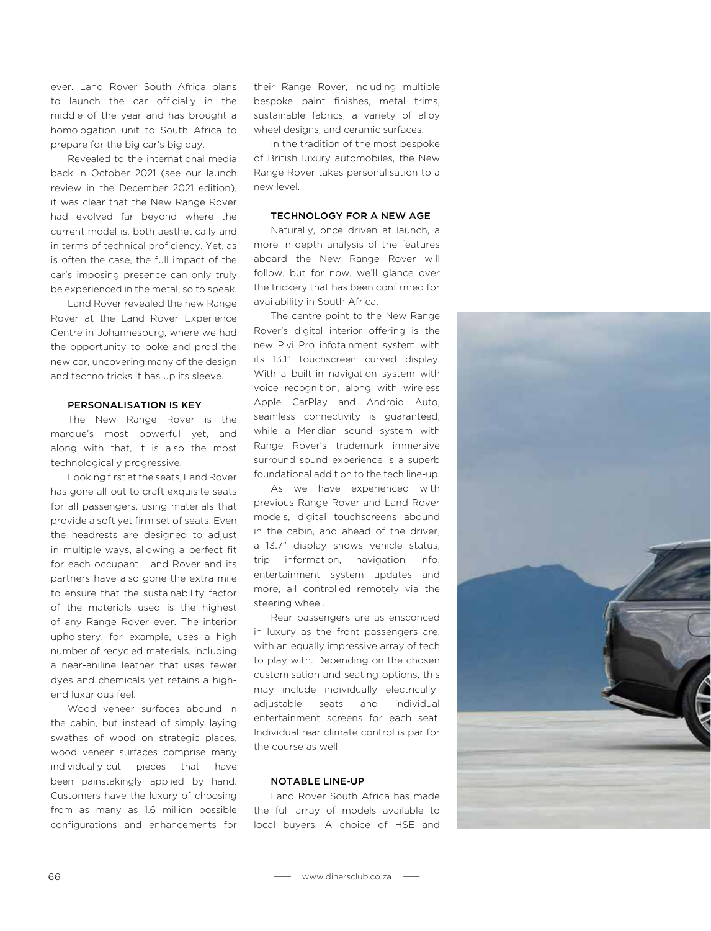ever. Land Rover South Africa plans to launch the car officially in the middle of the year and has brought a homologation unit to South Africa to prepare for the big car's big day.

Revealed to the international media back in October 2021 (see our launch review in the December 2021 edition), it was clear that the New Range Rover had evolved far beyond where the current model is, both aesthetically and in terms of technical proficiency. Yet, as is often the case, the full impact of the car's imposing presence can only truly be experienced in the metal, so to speak.

Land Rover revealed the new Range Rover at the Land Rover Experience Centre in Johannesburg, where we had the opportunity to poke and prod the new car, uncovering many of the design and techno tricks it has up its sleeve.

### PERSONALISATION IS KEY

The New Range Rover is the marque's most powerful yet, and along with that, it is also the most technologically progressive.

Looking first at the seats, Land Rover has gone all-out to craft exquisite seats for all passengers, using materials that provide a soft yet firm set of seats. Even the headrests are designed to adjust in multiple ways, allowing a perfect fit for each occupant. Land Rover and its partners have also gone the extra mile to ensure that the sustainability factor of the materials used is the highest of any Range Rover ever. The interior upholstery, for example, uses a high number of recycled materials, including a near-aniline leather that uses fewer dyes and chemicals yet retains a highend luxurious feel.

Wood veneer surfaces abound in the cabin, but instead of simply laying swathes of wood on strategic places, wood veneer surfaces comprise many individually-cut pieces that have been painstakingly applied by hand. Customers have the luxury of choosing from as many as 1.6 million possible configurations and enhancements for

their Range Rover, including multiple bespoke paint finishes, metal trims, sustainable fabrics, a variety of alloy wheel designs, and ceramic surfaces.

In the tradition of the most bespoke of British luxury automobiles, the New Range Rover takes personalisation to a new level.

# TECHNOLOGY FOR A NEW AGE

Naturally, once driven at launch, a more in-depth analysis of the features aboard the New Range Rover will follow, but for now, we'll glance over the trickery that has been confirmed for availability in South Africa.

The centre point to the New Range Rover's digital interior offering is the new Pivi Pro infotainment system with its 13.1" touchscreen curved display. With a built-in navigation system with voice recognition, along with wireless Apple CarPlay and Android Auto, seamless connectivity is guaranteed, while a Meridian sound system with Range Rover's trademark immersive surround sound experience is a superb foundational addition to the tech line-up.

As we have experienced with previous Range Rover and Land Rover models, digital touchscreens abound in the cabin, and ahead of the driver, a 13.7" display shows vehicle status, trip information, navigation info, entertainment system updates and more, all controlled remotely via the steering wheel.

Rear passengers are as ensconced in luxury as the front passengers are, with an equally impressive array of tech to play with. Depending on the chosen customisation and seating options, this may include individually electricallyadjustable seats and individual entertainment screens for each seat. Individual rear climate control is par for the course as well.

#### NOTABLE LINE-UP

Land Rover South Africa has made the full array of models available to local buyers. A choice of HSE and

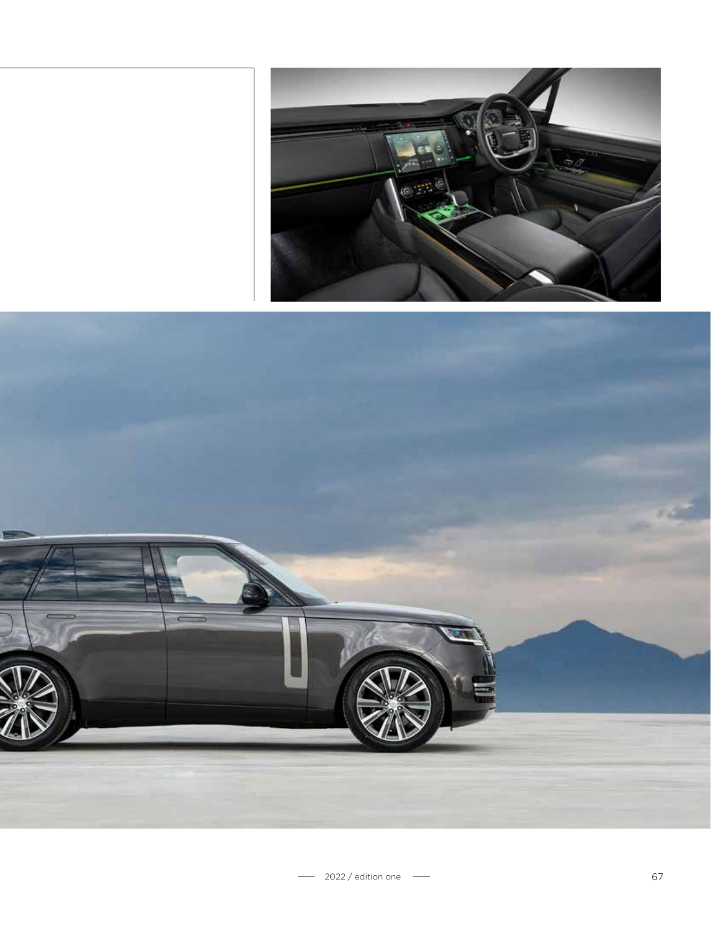

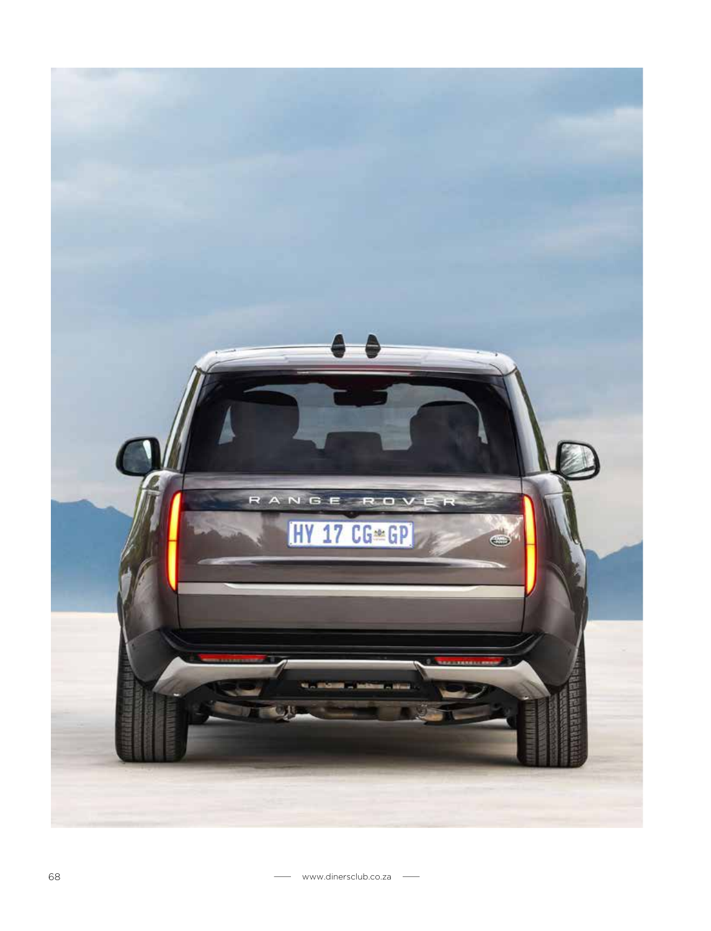